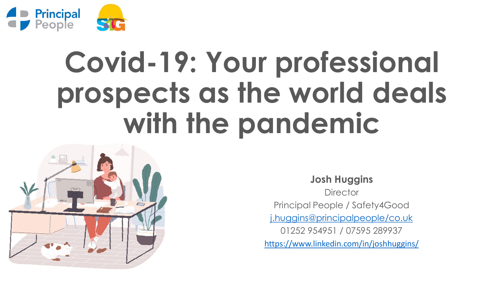

# **Covid-19: Your professional prospects as the world deals with the pandemic**



**Josh Huggins Director** Principal People / Safety4Good [j.huggins@principalpeople/co.uk](mailto:j.huggins@principalpeople/co.uk) 01252 954951 / 07595 289937 <https://www.linkedin.com/in/joshhuggins/>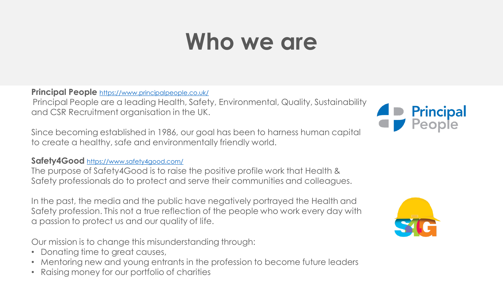### **Who we are**

**Principal People** <https://www.principalpeople.co.uk/>

Principal People are a leading Health, Safety, Environmental, Quality, Sustainability and CSR Recruitment organisation in the UK.

Since becoming established in 1986, our goal has been to harness human capital to create a healthy, safe and environmentally friendly world.

#### **Safety4Good** <https://www.safety4good.com/>

The purpose of Safety4Good is to raise the positive profile work that Health & Safety professionals do to protect and serve their communities and colleagues.

In the past, the media and the public have negatively portrayed the Health and Safety profession. This not a true reflection of the people who work every day with a passion to protect us and our quality of life.

Our mission is to change this misunderstanding through:

- Donating time to great causes,
- Mentoring new and young entrants in the profession to become future leaders
- Raising money for our portfolio of charities



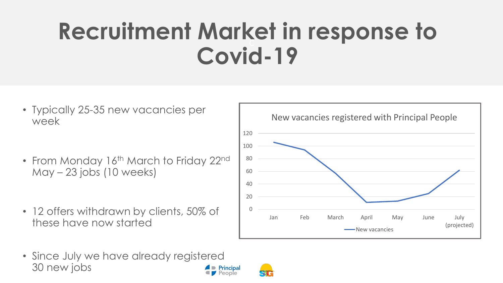### $\overline{C}$ **Recruitment Market in response to Covid-19**

- Typically 25-35 new vacancies per week
- From Monday 16<sup>th</sup> March to Friday 22<sup>nd</sup> May – 23 jobs (10 weeks)
- 12 offers withdrawn by clients, 50% of these have now started



• Since July we have already registered 30 new jobs **Principal** People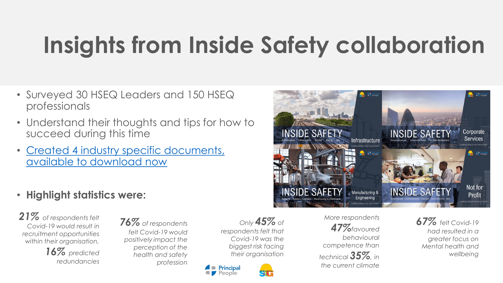#### C **Insights from Inside Safety collaboration**

- Surveyed 30 HSEQ Leaders and 150 HSEQ professionals
- Understand their thoughts and tips for how to succeed during this time
- [Created 4 industry specific documents,](https://www.principalpeople.co.uk/blog/2020/07/principal-people-inside-safety)  available to download now
- **Highlight statistics were:**

*21% of respondents felt Covid-19 would result in recruitment opportunities within their organisation,* 

> *16% predicted redundancies*

*76% of respondents felt Covid-19 would positively impact the perception of the health and safety profession*

*Only 45% of respondents felt that Covid-19 was the biggest risk facing their organisation*



*More respondents 47%favoured behavioural competence than technical 35%, in the current climate*

**INSIDE SAFET** 

**NSIDE SAFET** 

**Report Follow** 

Infrastructure

Manufacturing &

Engineering

**A** People

*67% felt Covid-19 had resulted in a greater focus on Mental health and wellbeing*

**INSIDE SAFET** 

**INSIDE SAFETY** 

**Replace Contract People** 

Corporate

**Services** 

**Student Comment** 

Not for

Profit